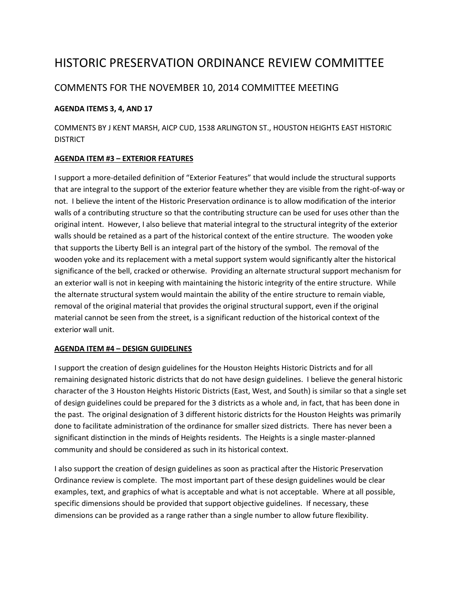# HISTORIC PRESERVATION ORDINANCE REVIEW COMMITTEE

## COMMENTS FOR THE NOVEMBER 10, 2014 COMMITTEE MEETING

#### **AGENDA ITEMS 3, 4, AND 17**

COMMENTS BY J KENT MARSH, AICP CUD, 1538 ARLINGTON ST., HOUSTON HEIGHTS EAST HISTORIC DISTRICT

#### **AGENDA ITEM #3 – EXTERIOR FEATURES**

I support a more-detailed definition of "Exterior Features" that would include the structural supports that are integral to the support of the exterior feature whether they are visible from the right-of-way or not. I believe the intent of the Historic Preservation ordinance is to allow modification of the interior walls of a contributing structure so that the contributing structure can be used for uses other than the original intent. However, I also believe that material integral to the structural integrity of the exterior walls should be retained as a part of the historical context of the entire structure. The wooden yoke that supports the Liberty Bell is an integral part of the history of the symbol. The removal of the wooden yoke and its replacement with a metal support system would significantly alter the historical significance of the bell, cracked or otherwise. Providing an alternate structural support mechanism for an exterior wall is not in keeping with maintaining the historic integrity of the entire structure. While the alternate structural system would maintain the ability of the entire structure to remain viable, removal of the original material that provides the original structural support, even if the original material cannot be seen from the street, is a significant reduction of the historical context of the exterior wall unit.

#### **AGENDA ITEM #4 – DESIGN GUIDELINES**

I support the creation of design guidelines for the Houston Heights Historic Districts and for all remaining designated historic districts that do not have design guidelines. I believe the general historic character of the 3 Houston Heights Historic Districts (East, West, and South) is similar so that a single set of design guidelines could be prepared for the 3 districts as a whole and, in fact, that has been done in the past. The original designation of 3 different historic districts for the Houston Heights was primarily done to facilitate administration of the ordinance for smaller sized districts. There has never been a significant distinction in the minds of Heights residents. The Heights is a single master-planned community and should be considered as such in its historical context.

I also support the creation of design guidelines as soon as practical after the Historic Preservation Ordinance review is complete. The most important part of these design guidelines would be clear examples, text, and graphics of what is acceptable and what is not acceptable. Where at all possible, specific dimensions should be provided that support objective guidelines. If necessary, these dimensions can be provided as a range rather than a single number to allow future flexibility.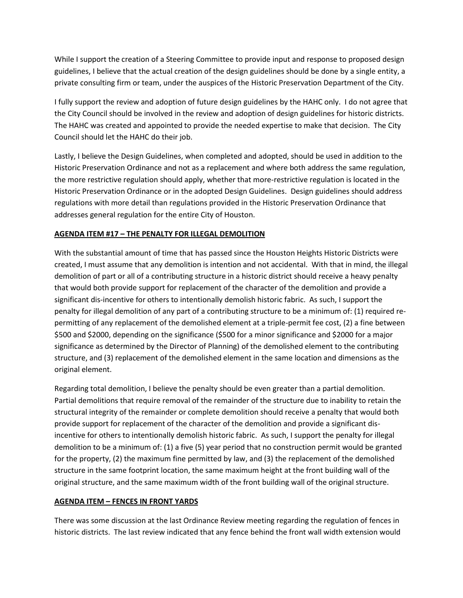While I support the creation of a Steering Committee to provide input and response to proposed design guidelines, I believe that the actual creation of the design guidelines should be done by a single entity, a private consulting firm or team, under the auspices of the Historic Preservation Department of the City.

I fully support the review and adoption of future design guidelines by the HAHC only. I do not agree that the City Council should be involved in the review and adoption of design guidelines for historic districts. The HAHC was created and appointed to provide the needed expertise to make that decision. The City Council should let the HAHC do their job.

Lastly, I believe the Design Guidelines, when completed and adopted, should be used in addition to the Historic Preservation Ordinance and not as a replacement and where both address the same regulation, the more restrictive regulation should apply, whether that more-restrictive regulation is located in the Historic Preservation Ordinance or in the adopted Design Guidelines. Design guidelines should address regulations with more detail than regulations provided in the Historic Preservation Ordinance that addresses general regulation for the entire City of Houston.

### **AGENDA ITEM #17 – THE PENALTY FOR ILLEGAL DEMOLITION**

With the substantial amount of time that has passed since the Houston Heights Historic Districts were created, I must assume that any demolition is intention and not accidental. With that in mind, the illegal demolition of part or all of a contributing structure in a historic district should receive a heavy penalty that would both provide support for replacement of the character of the demolition and provide a significant dis-incentive for others to intentionally demolish historic fabric. As such, I support the penalty for illegal demolition of any part of a contributing structure to be a minimum of: (1) required repermitting of any replacement of the demolished element at a triple-permit fee cost, (2) a fine between \$500 and \$2000, depending on the significance (\$500 for a minor significance and \$2000 for a major significance as determined by the Director of Planning) of the demolished element to the contributing structure, and (3) replacement of the demolished element in the same location and dimensions as the original element.

Regarding total demolition, I believe the penalty should be even greater than a partial demolition. Partial demolitions that require removal of the remainder of the structure due to inability to retain the structural integrity of the remainder or complete demolition should receive a penalty that would both provide support for replacement of the character of the demolition and provide a significant disincentive for others to intentionally demolish historic fabric. As such, I support the penalty for illegal demolition to be a minimum of: (1) a five (5) year period that no construction permit would be granted for the property, (2) the maximum fine permitted by law, and (3) the replacement of the demolished structure in the same footprint location, the same maximum height at the front building wall of the original structure, and the same maximum width of the front building wall of the original structure.

#### **AGENDA ITEM – FENCES IN FRONT YARDS**

There was some discussion at the last Ordinance Review meeting regarding the regulation of fences in historic districts. The last review indicated that any fence behind the front wall width extension would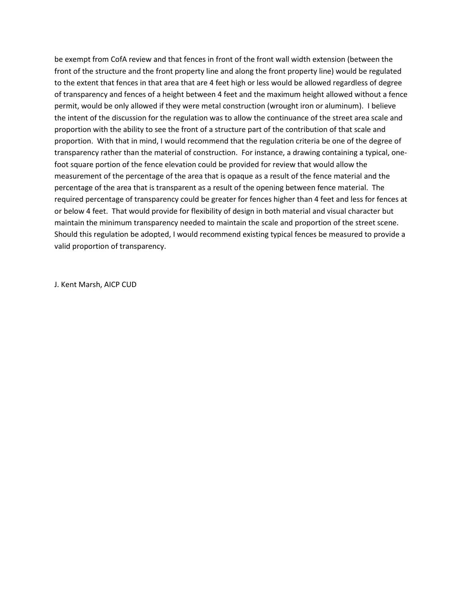be exempt from CofA review and that fences in front of the front wall width extension (between the front of the structure and the front property line and along the front property line) would be regulated to the extent that fences in that area that are 4 feet high or less would be allowed regardless of degree of transparency and fences of a height between 4 feet and the maximum height allowed without a fence permit, would be only allowed if they were metal construction (wrought iron or aluminum). I believe the intent of the discussion for the regulation was to allow the continuance of the street area scale and proportion with the ability to see the front of a structure part of the contribution of that scale and proportion. With that in mind, I would recommend that the regulation criteria be one of the degree of transparency rather than the material of construction. For instance, a drawing containing a typical, onefoot square portion of the fence elevation could be provided for review that would allow the measurement of the percentage of the area that is opaque as a result of the fence material and the percentage of the area that is transparent as a result of the opening between fence material. The required percentage of transparency could be greater for fences higher than 4 feet and less for fences at or below 4 feet. That would provide for flexibility of design in both material and visual character but maintain the minimum transparency needed to maintain the scale and proportion of the street scene. Should this regulation be adopted, I would recommend existing typical fences be measured to provide a valid proportion of transparency.

J. Kent Marsh, AICP CUD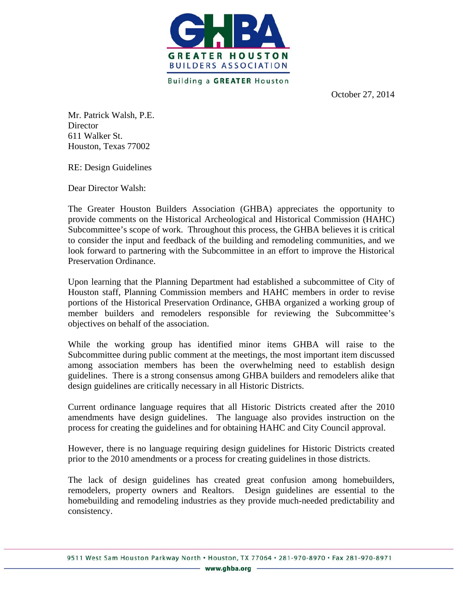

**Building a GREATER Houston** 

October 27, 2014

Mr. Patrick Walsh, P.E. **Director** 611 Walker St. Houston, Texas 77002

RE: Design Guidelines

Dear Director Walsh:

The Greater Houston Builders Association (GHBA) appreciates the opportunity to provide comments on the Historical Archeological and Historical Commission (HAHC) Subcommittee's scope of work. Throughout this process, the GHBA believes it is critical to consider the input and feedback of the building and remodeling communities, and we look forward to partnering with the Subcommittee in an effort to improve the Historical Preservation Ordinance.

Upon learning that the Planning Department had established a subcommittee of City of Houston staff, Planning Commission members and HAHC members in order to revise portions of the Historical Preservation Ordinance, GHBA organized a working group of member builders and remodelers responsible for reviewing the Subcommittee's objectives on behalf of the association.

While the working group has identified minor items GHBA will raise to the Subcommittee during public comment at the meetings, the most important item discussed among association members has been the overwhelming need to establish design guidelines. There is a strong consensus among GHBA builders and remodelers alike that design guidelines are critically necessary in all Historic Districts.

Current ordinance language requires that all Historic Districts created after the 2010 amendments have design guidelines. The language also provides instruction on the process for creating the guidelines and for obtaining HAHC and City Council approval.

However, there is no language requiring design guidelines for Historic Districts created prior to the 2010 amendments or a process for creating guidelines in those districts.

The lack of design guidelines has created great confusion among homebuilders, remodelers, property owners and Realtors. Design guidelines are essential to the homebuilding and remodeling industries as they provide much-needed predictability and consistency.